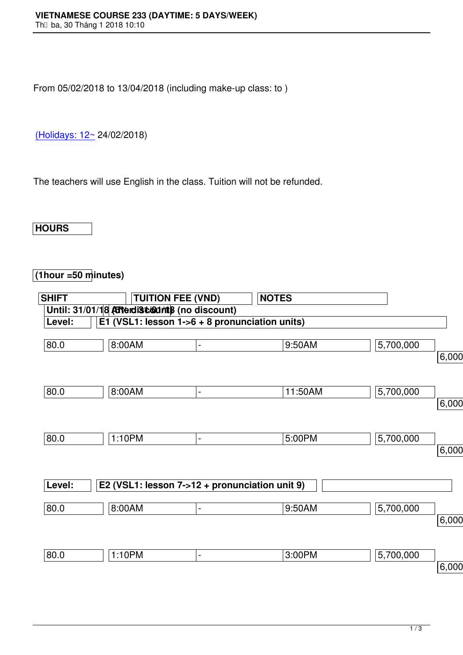From 05/02/2018 to 13/04/2018 (including make-up class: to )

(Holidays: 12~ 24/02/2018)

[The teachers w](http://www.vns.edu.vn/)ill use English in the class. Tuition will not be refunded.

## **HOURS**

## **(1hour =50 minutes)**

| <b>SHIFT</b> |                                                 | <b>TUITION FEE (VND)</b> | <b>NOTES</b> |           |          |
|--------------|-------------------------------------------------|--------------------------|--------------|-----------|----------|
|              | Until: 31/01/18 Atterdistriants (no discount)   |                          |              |           |          |
| Level:       | E1 (VSL1: lesson $1-6 + 8$ pronunciation units) |                          |              |           |          |
| 80.0         | 8:00AM                                          | $\overline{\phantom{a}}$ | 9:50AM       | 5,700,000 | 6,000,00 |
| 80.0         | 8:00AM                                          | $\blacksquare$           | 11:50AM      | 5,700,000 | 6,000,00 |
| 80.0         | 1:10PM                                          | $\blacksquare$           | 5:00PM       | 5,700,000 | 6,000,00 |
| Level:       | E2 (VSL1: lesson 7->12 + pronunciation unit 9)  |                          |              |           |          |
| 80.0         | 8:00AM                                          |                          | 9:50AM       | 5,700,000 | 6,000,00 |
| 80.0         | 1:10PM                                          | $\overline{\phantom{0}}$ | 3:00PM       | 5,700,000 | 6,000,00 |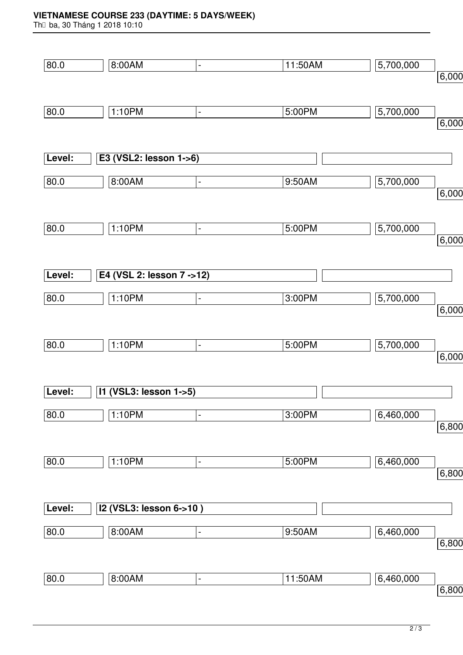## **VIETNAMESE COURSE 233 (DAYTIME: 5 DAYS/WEEK)**

Th⊡ ba, 30 Tháng 1 2018 10:10

| 80.0   | 8:00AM                     | $\blacksquare$               | 11:50AM | 5,700,000 |       |
|--------|----------------------------|------------------------------|---------|-----------|-------|
|        |                            |                              |         |           | 6,000 |
|        |                            |                              |         |           |       |
| 80.0   | 1:10PM                     | $\blacksquare$               | 5:00PM  | 5,700,000 |       |
|        |                            |                              |         |           | 6,000 |
|        |                            |                              |         |           |       |
| Level: | E3 (VSL2: lesson 1->6)     |                              |         |           |       |
| 80.0   | 8:00AM                     | $\qquad \qquad \blacksquare$ | 9:50AM  | 5,700,000 |       |
|        |                            |                              |         |           | 6,000 |
| 80.0   | 1:10PM                     | $\qquad \qquad \blacksquare$ | 5:00PM  | 5,700,000 |       |
|        |                            |                              |         |           | 6,000 |
|        |                            |                              |         |           |       |
| Level: | E4 (VSL 2: lesson 7 -> 12) |                              |         |           |       |
| 80.0   | 1:10PM                     | $\qquad \qquad \blacksquare$ | 3:00PM  | 5,700,000 |       |
|        |                            |                              |         |           | 6,000 |
|        |                            |                              |         |           |       |
| 80.0   | 1:10PM                     | $\qquad \qquad \blacksquare$ | 5:00PM  | 5,700,000 |       |
|        |                            |                              |         |           | 6,000 |
|        |                            |                              |         |           |       |
| Level: | 11 (VSL3: lesson 1->5)     |                              |         |           |       |
| 80.0   | 1:10PM                     | ÷,                           | 3:00PM  | 6,460,000 |       |
|        |                            |                              |         |           | 6,800 |
|        |                            |                              |         |           |       |
| 80.0   | 1:10PM                     | $\qquad \qquad \blacksquare$ | 5:00PM  | 6,460,000 | 6,800 |
|        |                            |                              |         |           |       |
| Level: | I2 (VSL3: lesson 6->10)    |                              |         |           |       |
|        |                            |                              |         |           |       |
| 80.0   | 8:00AM                     | $\overline{\phantom{0}}$     | 9:50AM  | 6,460,000 | 6,800 |
|        |                            |                              |         |           |       |
| 80.0   | 8:00AM                     | $\overline{\phantom{0}}$     | 11:50AM | 6,460,000 |       |
|        |                            |                              |         |           | 6,800 |